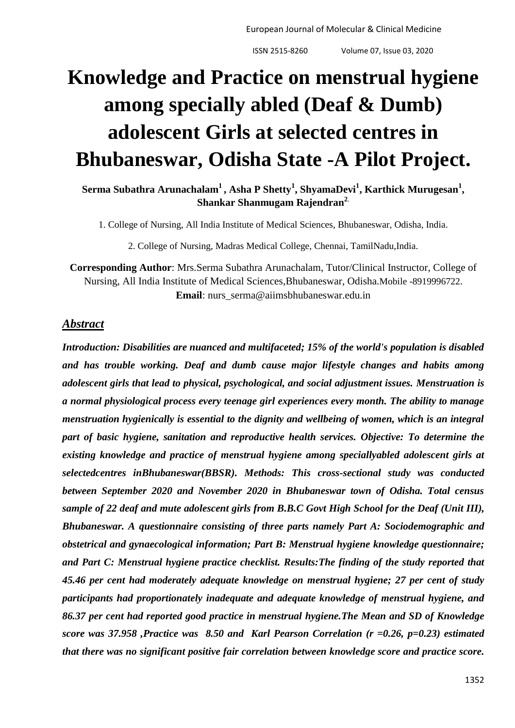European Journal of Molecular & Clinical Medicine

ISSN 2515-8260 Volume 07, Issue 03, 2020

# **Knowledge and Practice on menstrual hygiene among specially abled (Deaf & Dumb) adolescent Girls at selected centres in Bhubaneswar, Odisha State -A Pilot Project.**

**Serma Subathra Arunachalam<sup>1</sup> , Asha P Shetty<sup>1</sup> , ShyamaDevi<sup>1</sup> , Karthick Murugesan<sup>1</sup> , Shankar Shanmugam Rajendran<sup>2</sup>**.

1. College of Nursing, All India Institute of Medical Sciences, Bhubaneswar, Odisha, India.

2. College of Nursing, Madras Medical College, Chennai, TamilNadu,India.

**Corresponding Author**: Mrs.Serma Subathra Arunachalam, Tutor/Clinical Instructor, College of Nursing, All India Institute of Medical Sciences,Bhubaneswar, Odisha.Mobile -8919996722. **Email**: nurs\_serma@aiimsbhubaneswar.edu.in

#### *Abstract*

*Introduction: Disabilities are nuanced and multifaceted; 15% of the world's population is disabled and has trouble working. Deaf and dumb cause major lifestyle changes and habits among adolescent girls that lead to physical, psychological, and social adjustment issues. Menstruation is a normal physiological process every teenage girl experiences every month. The ability to manage menstruation hygienically is essential to the dignity and wellbeing of women, which is an integral part of basic hygiene, sanitation and reproductive health services. Objective: To determine the existing knowledge and practice of menstrual hygiene among speciallyabled adolescent girls at selectedcentres inBhubaneswar(BBSR). Methods: This cross-sectional study was conducted between September 2020 and November 2020 in Bhubaneswar town of Odisha. Total census sample of 22 deaf and mute adolescent girls from B.B.C Govt High School for the Deaf (Unit III), Bhubaneswar. A questionnaire consisting of three parts namely Part A: Sociodemographic and obstetrical and gynaecological information; Part B: Menstrual hygiene knowledge questionnaire; and Part C: Menstrual hygiene practice checklist. Results:The finding of the study reported that 45.46 per cent had moderately adequate knowledge on menstrual hygiene; 27 per cent of study participants had proportionately inadequate and adequate knowledge of menstrual hygiene, and 86.37 per cent had reported good practice in menstrual hygiene.The Mean and SD of Knowledge score was 37.958 ,Practice was 8.50 and Karl Pearson Correlation (r =0.26, p=0.23) estimated that there was no significant positive fair correlation between knowledge score and practice score.*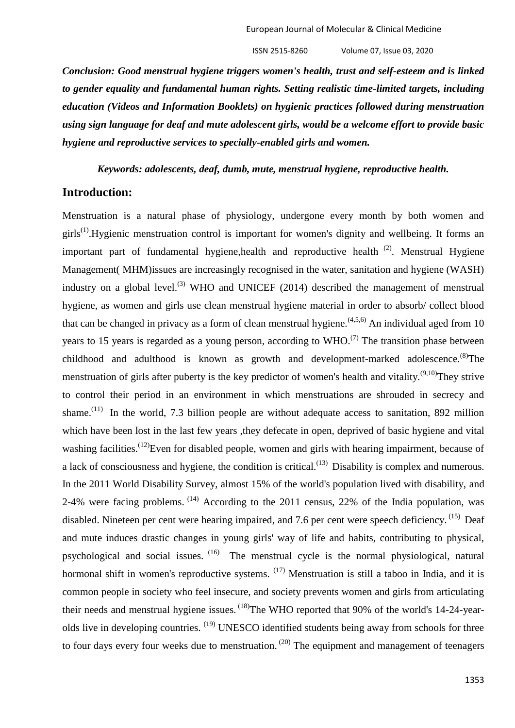*Conclusion: Good menstrual hygiene triggers women's health, trust and self-esteem and is linked to gender equality and fundamental human rights. Setting realistic time-limited targets, including education (Videos and Information Booklets) on hygienic practices followed during menstruation using sign language for deaf and mute adolescent girls, would be a welcome effort to provide basic hygiene and reproductive services to specially-enabled girls and women.*

*Keywords: adolescents, deaf, dumb, mute, menstrual hygiene, reproductive health.*

#### **Introduction:**

Menstruation is a natural phase of physiology, undergone every month by both women and girls<sup>(1)</sup>. Hygienic menstruation control is important for women's dignity and wellbeing. It forms an important part of fundamental hygiene, health and reproductive health  $(2)$ . Menstrual Hygiene Management( MHM)issues are increasingly recognised in the water, sanitation and hygiene (WASH) industry on a global level.<sup>(3)</sup> WHO and UNICEF (2014) described the management of menstrual hygiene, as women and girls use clean menstrual hygiene material in order to absorb/ collect blood that can be changed in privacy as a form of clean menstrual hygiene.<sup> $(4,5,6)$ </sup> An individual aged from 10 years to 15 years is regarded as a young person, according to  $WHO^{(7)}$ . The transition phase between childhood and adulthood is known as growth and development-marked adolescence.<sup>(8)</sup>The menstruation of girls after puberty is the key predictor of women's health and vitality.<sup> $(9,10)$ </sup>They strive to control their period in an environment in which menstruations are shrouded in secrecy and shame.<sup> $(11)$ </sup> In the world, 7.3 billion people are without adequate access to sanitation, 892 million which have been lost in the last few years, they defecate in open, deprived of basic hygiene and vital washing facilities.<sup>(12)</sup>Even for disabled people, women and girls with hearing impairment, because of a lack of consciousness and hygiene, the condition is critical. $^{(13)}$  Disability is complex and numerous. In the 2011 World Disability Survey, almost 15% of the world's population lived with disability, and 2-4% were facing problems.  $(14)$  According to the 2011 census, 22% of the India population, was disabled. Nineteen per cent were hearing impaired, and 7.6 per cent were speech deficiency. <sup>(15)</sup> Deaf and mute induces drastic changes in young girls' way of life and habits, contributing to physical, psychological and social issues.  $(16)$  The menstrual cycle is the normal physiological, natural hormonal shift in women's reproductive systems.  $(17)$  Menstruation is still a taboo in India, and it is common people in society who feel insecure, and society prevents women and girls from articulating their needs and menstrual hygiene issues. <sup>(18)</sup>The WHO reported that 90% of the world's 14-24-yearolds live in developing countries. <sup>(19)</sup> UNESCO identified students being away from schools for three to four days every four weeks due to menstruation.<sup>(20)</sup> The equipment and management of teenagers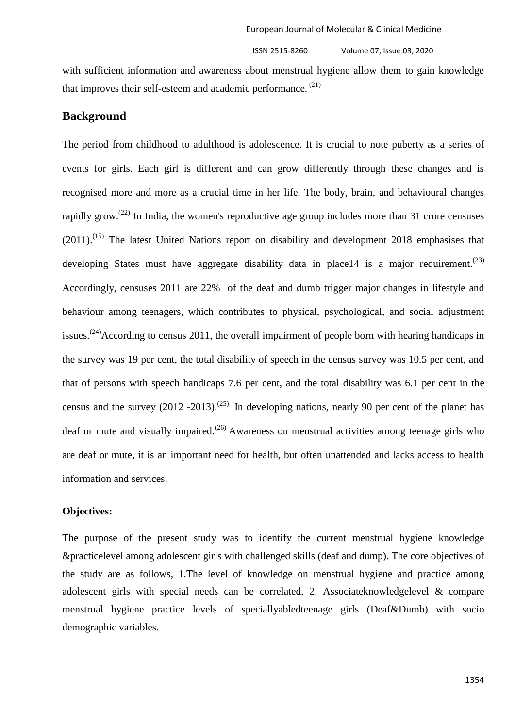with sufficient information and awareness about menstrual hygiene allow them to gain knowledge that improves their self-esteem and academic performance.<sup>(21)</sup>

#### **Background**

The period from childhood to adulthood is adolescence. It is crucial to note puberty as a series of events for girls. Each girl is different and can grow differently through these changes and is recognised more and more as a crucial time in her life. The body, brain, and behavioural changes rapidly grow.<sup> $(22)$ </sup> In India, the women's reproductive age group includes more than 31 crore censuses  $(2011)$ .<sup>(15)</sup> The latest United Nations report on disability and development 2018 emphasises that developing States must have aggregate disability data in place14 is a major requirement.<sup>(23)</sup> Accordingly, censuses 2011 are 22% of the deaf and dumb trigger major changes in lifestyle and behaviour among teenagers, which contributes to physical, psychological, and social adjustment issues.<sup>(24)</sup>According to census 2011, the overall impairment of people born with hearing handicaps in the survey was 19 per cent, the total disability of speech in the census survey was 10.5 per cent, and that of persons with speech handicaps 7.6 per cent, and the total disability was 6.1 per cent in the census and the survey  $(2012 - 2013)$ .<sup>(25)</sup> In developing nations, nearly 90 per cent of the planet has deaf or mute and visually impaired.<sup> $(26)$ </sup> Awareness on menstrual activities among teenage girls who are deaf or mute, it is an important need for health, but often unattended and lacks access to health information and services.

#### **Objectives:**

The purpose of the present study was to identify the current menstrual hygiene knowledge &practicelevel among adolescent girls with challenged skills (deaf and dump). The core objectives of the study are as follows, 1.The level of knowledge on menstrual hygiene and practice among adolescent girls with special needs can be correlated. 2. Associateknowledgelevel & compare menstrual hygiene practice levels of speciallyabledteenage girls (Deaf&Dumb) with socio demographic variables.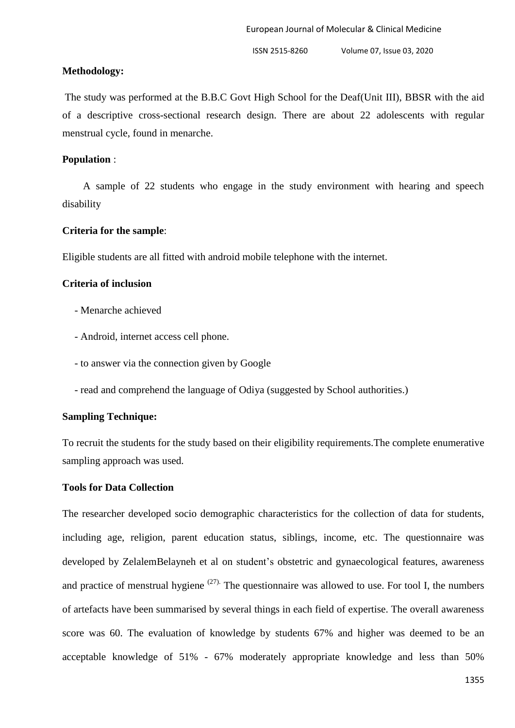# **Methodology:**

The study was performed at the B.B.C Govt High School for the Deaf(Unit III), BBSR with the aid of a descriptive cross-sectional research design. There are about 22 adolescents with regular menstrual cycle, found in menarche.

# **Population** :

 A sample of 22 students who engage in the study environment with hearing and speech disability

# **Criteria for the sample**:

Eligible students are all fitted with android mobile telephone with the internet.

# **Criteria of inclusion**

- Menarche achieved
- Android, internet access cell phone.
- to answer via the connection given by Google
- read and comprehend the language of Odiya (suggested by School authorities.)

# **Sampling Technique:**

To recruit the students for the study based on their eligibility requirements.The complete enumerative sampling approach was used.

### **Tools for Data Collection**

The researcher developed socio demographic characteristics for the collection of data for students, including age, religion, parent education status, siblings, income, etc. The questionnaire was developed by ZelalemBelayneh et al on student's obstetric and gynaecological features, awareness and practice of menstrual hygiene  $(27)$ . The questionnaire was allowed to use. For tool I, the numbers of artefacts have been summarised by several things in each field of expertise. The overall awareness score was 60. The evaluation of knowledge by students 67% and higher was deemed to be an acceptable knowledge of 51% - 67% moderately appropriate knowledge and less than 50%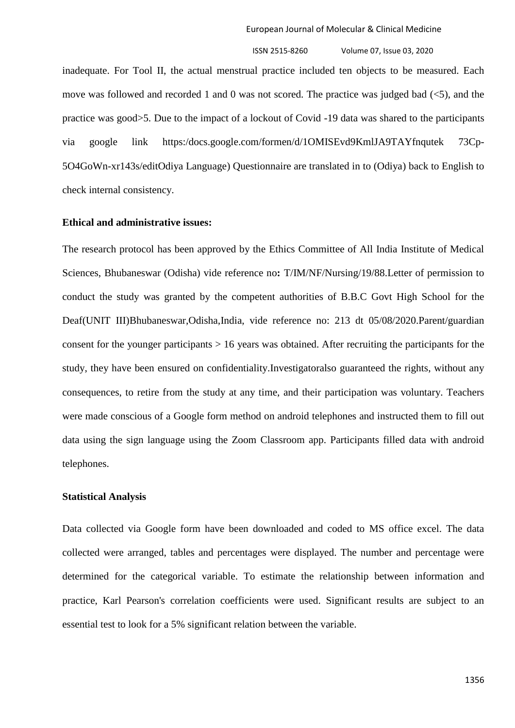inadequate. For Tool II, the actual menstrual practice included ten objects to be measured. Each move was followed and recorded 1 and 0 was not scored. The practice was judged bad  $(\leq 5)$ , and the practice was good>5. Due to the impact of a lockout of Covid -19 data was shared to the participants via google link https:/docs.google.com/formen/d/1OMISEvd9KmlJA9TAYfnqutek 73Cp-5O4GoWn-xr143s/editOdiya Language) Questionnaire are translated in to (Odiya) back to English to check internal consistency.

#### **Ethical and administrative issues:**

The research protocol has been approved by the Ethics Committee of All India Institute of Medical Sciences, Bhubaneswar (Odisha) vide reference no**:** T/IM/NF/Nursing/19/88.Letter of permission to conduct the study was granted by the competent authorities of B.B.C Govt High School for the Deaf(UNIT III)Bhubaneswar,Odisha,India, vide reference no: 213 dt 05/08/2020.Parent/guardian consent for the younger participants  $> 16$  years was obtained. After recruiting the participants for the study, they have been ensured on confidentiality.Investigatoralso guaranteed the rights, without any consequences, to retire from the study at any time, and their participation was voluntary. Teachers were made conscious of a Google form method on android telephones and instructed them to fill out data using the sign language using the Zoom Classroom app. Participants filled data with android telephones.

#### **Statistical Analysis**

Data collected via Google form have been downloaded and coded to MS office excel. The data collected were arranged, tables and percentages were displayed. The number and percentage were determined for the categorical variable. To estimate the relationship between information and practice, Karl Pearson's correlation coefficients were used. Significant results are subject to an essential test to look for a 5% significant relation between the variable.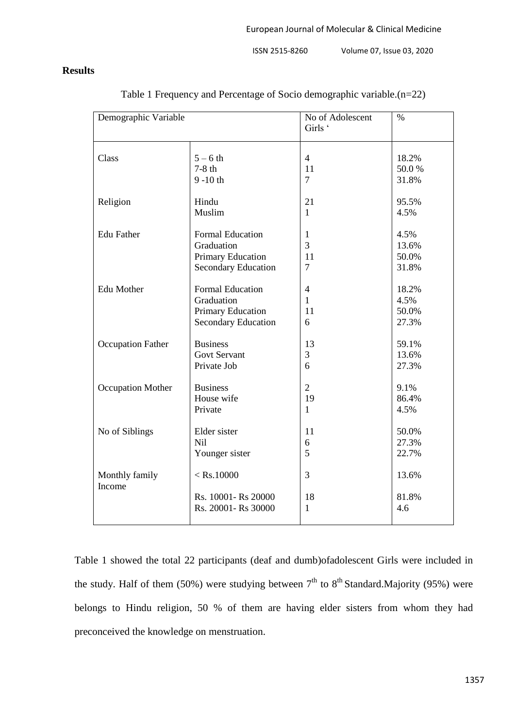#### **Results**

| Demographic Variable     |                                                            | No of Adolescent<br>Girls ' | $\%$                  |
|--------------------------|------------------------------------------------------------|-----------------------------|-----------------------|
| Class                    | $5-6$ th                                                   | $\overline{4}$              | 18.2%                 |
|                          | $7-8$ th                                                   | 11                          | 50.0%                 |
|                          | $9 - 10$ th                                                | $\overline{7}$              | 31.8%                 |
| Religion                 | Hindu                                                      | 21                          | 95.5%                 |
|                          | Muslim                                                     | $\mathbf{1}$                | 4.5%                  |
| <b>Edu Father</b>        | <b>Formal Education</b>                                    | $\mathbf{1}$                | 4.5%                  |
|                          | Graduation                                                 | 3                           | 13.6%                 |
|                          | Primary Education                                          | 11                          | 50.0%                 |
|                          | <b>Secondary Education</b>                                 | $\overline{7}$              | 31.8%                 |
| Edu Mother               | <b>Formal Education</b>                                    | $\overline{4}$              | 18.2%                 |
|                          | Graduation                                                 | $\mathbf{1}$                | 4.5%                  |
|                          | Primary Education                                          | 11                          | 50.0%                 |
|                          | <b>Secondary Education</b>                                 | 6                           | 27.3%                 |
| <b>Occupation Father</b> | <b>Business</b>                                            | 13                          | 59.1%                 |
|                          | <b>Govt Servant</b>                                        | 3                           | 13.6%                 |
|                          | Private Job                                                | 6                           | 27.3%                 |
| <b>Occupation Mother</b> | <b>Business</b>                                            | $\overline{2}$              | 9.1%                  |
|                          | House wife                                                 | 19                          | 86.4%                 |
|                          | Private                                                    | $\mathbf{1}$                | 4.5%                  |
| No of Siblings           | Elder sister                                               | 11                          | 50.0%                 |
|                          | Nil                                                        | 6                           | 27.3%                 |
|                          | Younger sister                                             | 5                           | 22.7%                 |
| Monthly family<br>Income | $<$ Rs.10000<br>Rs. 10001- Rs 20000<br>Rs. 20001- Rs 30000 | 3<br>18<br>$\mathbf{1}$     | 13.6%<br>81.8%<br>4.6 |

Table 1 Frequency and Percentage of Socio demographic variable.(n=22)

Table 1 showed the total 22 participants (deaf and dumb)ofadolescent Girls were included in the study. Half of them (50%) were studying between  $7<sup>th</sup>$  to  $8<sup>th</sup>$  Standard.Majority (95%) were belongs to Hindu religion, 50 % of them are having elder sisters from whom they had preconceived the knowledge on menstruation.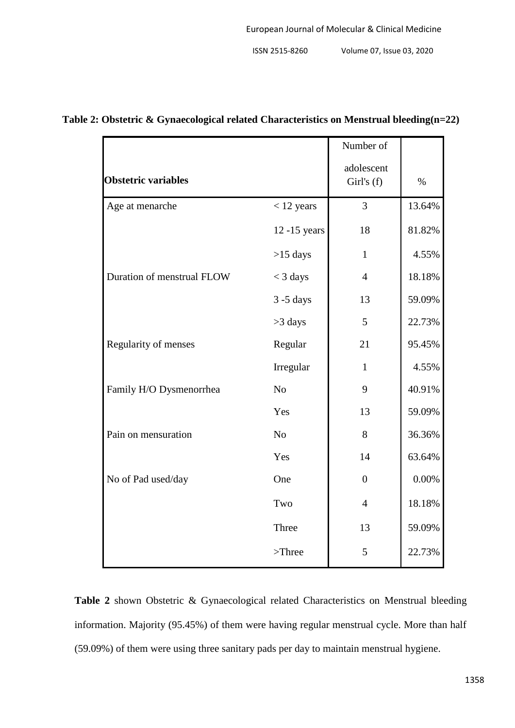|                            |                | Number of                |        |
|----------------------------|----------------|--------------------------|--------|
| <b>Obstetric variables</b> |                | adolescent<br>Girl's (f) | $\%$   |
| Age at menarche            | $<$ 12 years   | $\overline{3}$           | 13.64% |
|                            | 12 -15 years   | 18                       | 81.82% |
|                            | $>15$ days     | $\mathbf{1}$             | 4.55%  |
| Duration of menstrual FLOW | $<$ 3 days     | $\overline{4}$           | 18.18% |
|                            | $3 - 5$ days   | 13                       | 59.09% |
|                            | >3 days        | 5                        | 22.73% |
| Regularity of menses       | Regular        | 21                       | 95.45% |
|                            | Irregular      | $\mathbf{1}$             | 4.55%  |
| Family H/O Dysmenorrhea    | N <sub>o</sub> | 9                        | 40.91% |
|                            | Yes            | 13                       | 59.09% |
| Pain on mensuration        | No             | 8                        | 36.36% |
|                            | Yes            | 14                       | 63.64% |
| No of Pad used/day         | One            | $\overline{0}$           | 0.00%  |
|                            | Two            | $\overline{4}$           | 18.18% |
|                            | Three          | 13                       | 59.09% |
|                            | $>$ Three      | 5                        | 22.73% |

# **Table 2: Obstetric & Gynaecological related Characteristics on Menstrual bleeding(n=22)**

**Table 2** shown Obstetric & Gynaecological related Characteristics on Menstrual bleeding information. Majority (95.45%) of them were having regular menstrual cycle. More than half (59.09%) of them were using three sanitary pads per day to maintain menstrual hygiene.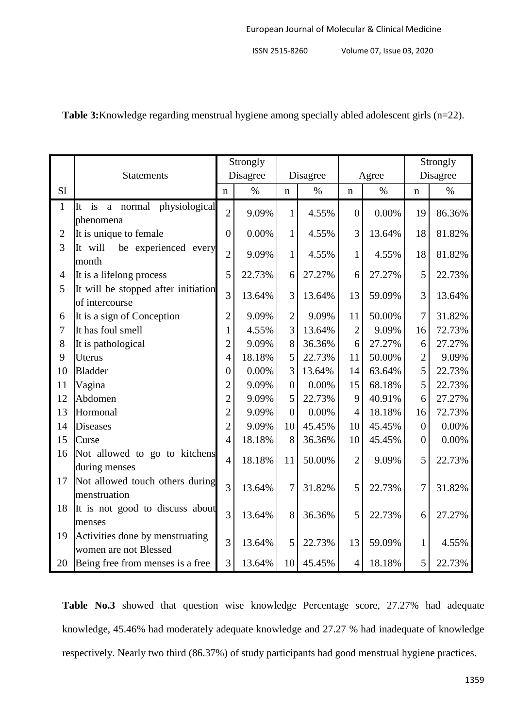|                |                                                          | Strongly         |          |                |        |                |        | Strongly       |          |  |
|----------------|----------------------------------------------------------|------------------|----------|----------------|--------|----------------|--------|----------------|----------|--|
|                | Statements                                               |                  | Disagree | Disagree       |        | Agree          |        |                | Disagree |  |
| S <sub>1</sub> |                                                          | n                | $\%$     | n              | $\%$   | n              | $\%$   | $\mathbf n$    | $\%$     |  |
| $\mathbf{1}$   | It is a normal physiological                             | $\overline{2}$   | 9.09%    | $\mathbf{1}$   | 4.55%  | $\overline{0}$ | 0.00%  | 19             | 86.36%   |  |
|                | phenomena                                                |                  |          |                |        |                |        |                |          |  |
| $\overline{2}$ | It is unique to female                                   | $\boldsymbol{0}$ | 0.00%    | $\mathbf{1}$   | 4.55%  | 3              | 13.64% | 18             | 81.82%   |  |
| 3              | It will<br>be experienced every<br>month                 | $\overline{2}$   | 9.09%    | $\mathbf{1}$   | 4.55%  | $\mathbf{1}$   | 4.55%  | 18             | 81.82%   |  |
| $\overline{4}$ | It is a lifelong process                                 | 5                | 22.73%   | 6              | 27.27% | 6              | 27.27% | 5              | 22.73%   |  |
| 5              | It will be stopped after initiation<br>of intercourse    | $\overline{3}$   | 13.64%   | 3              | 13.64% | 13             | 59.09% | 3              | 13.64%   |  |
| 6              | It is a sign of Conception                               | $\overline{2}$   | 9.09%    | $\overline{2}$ | 9.09%  | 11             | 50.00% | 7              | 31.82%   |  |
| 7              | It has foul smell                                        | $\mathbf{1}$     | 4.55%    | 3              | 13.64% | $\overline{2}$ | 9.09%  | 16             | 72.73%   |  |
| 8              | It is pathological                                       | $\overline{c}$   | 9.09%    | 8              | 36.36% | 6              | 27.27% | 6              | 27.27%   |  |
| 9              | Uterus                                                   | $\overline{4}$   | 18.18%   | 5              | 22.73% | 11             | 50.00% | $\overline{2}$ | 9.09%    |  |
| 10             | <b>Bladder</b>                                           | $\overline{0}$   | 0.00%    | 3              | 13.64% | 14             | 63.64% | 5              | 22.73%   |  |
| 11             | Vagina                                                   | $\overline{c}$   | 9.09%    | $\overline{0}$ | 0.00%  | 15             | 68.18% | 5              | 22.73%   |  |
| 12             | Abdomen                                                  |                  | 9.09%    | 5              | 22.73% | 9              | 40.91% | 6              | 27.27%   |  |
| 13             | Hormonal                                                 |                  | 9.09%    | $\overline{0}$ | 0.00%  | 4              | 18.18% | 16             | 72.73%   |  |
| 14             | <b>Diseases</b>                                          |                  | 9.09%    | 10             | 45.45% | 10             | 45.45% | $\overline{0}$ | 0.00%    |  |
| 15             | Curse                                                    |                  | 18.18%   | 8              | 36.36% | 10             | 45.45% | $\overline{0}$ | 0.00%    |  |
| 16             | Not allowed to go to kitchens<br>during menses           | $\overline{4}$   | 18.18%   | 11             | 50.00% | $\overline{2}$ | 9.09%  | 5              | 22.73%   |  |
| 17             | Not allowed touch others during<br>menstruation          | $\overline{3}$   | 13.64%   | 7              | 31.82% | 5              | 22.73% | 7              | 31.82%   |  |
| 18             | It is not good to discuss about<br>menses                | $\overline{3}$   | 13.64%   | 8              | 36.36% | 5              | 22.73% | 6              | 27.27%   |  |
| 19             | Activities done by menstruating<br>women are not Blessed | $\overline{3}$   | 13.64%   | 5              | 22.73% | 13             | 59.09% | 1              | 4.55%    |  |
| 20             | Being free from menses is a free                         | 3                | 13.64%   | 10             | 45.45% | $\overline{4}$ | 18.18% | 5              | 22.73%   |  |

**Table 3:**Knowledge regarding menstrual hygiene among specially abled adolescent girls (n=22).

**Table No.3** showed that question wise knowledge Percentage score, 27.27% had adequate knowledge, 45.46% had moderately adequate knowledge and 27.27 % had inadequate of knowledge respectively. Nearly two third (86.37%) of study participants had good menstrual hygiene practices.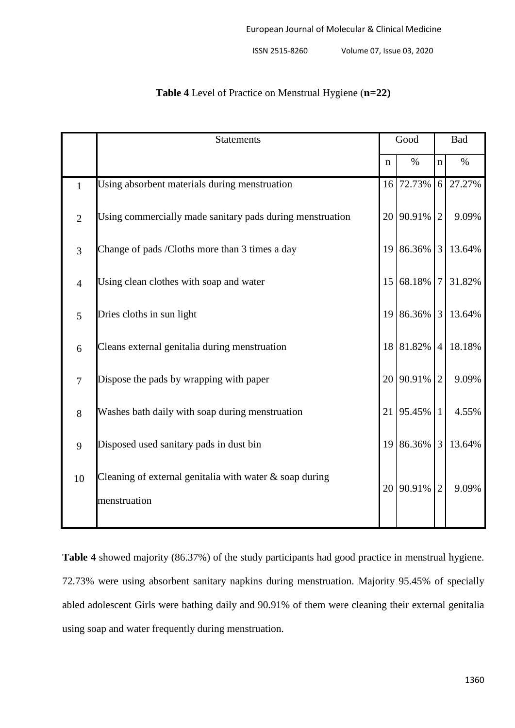|                | <b>Statements</b>                                                          |                 | Good        |                | <b>Bad</b> |  |
|----------------|----------------------------------------------------------------------------|-----------------|-------------|----------------|------------|--|
|                |                                                                            | n               | $\%$        | $\mathbf n$    | $\%$       |  |
| $\mathbf{1}$   | Using absorbent materials during menstruation                              |                 | 16 72.73%   | 6 <sup>1</sup> | 27.27%     |  |
| $\overline{2}$ | Using commercially made sanitary pads during menstruation                  |                 | 20 90.91%   | 2              | 9.09%      |  |
| $\overline{3}$ | Change of pads /Cloths more than 3 times a day                             |                 | 19 86.36% 3 |                | 13.64%     |  |
| $\overline{4}$ | Using clean clothes with soap and water                                    |                 | 15 68.18% 7 |                | 31.82%     |  |
| 5              | Dries cloths in sun light                                                  |                 | 19 86.36% 3 |                | 13.64%     |  |
| 6              | Cleans external genitalia during menstruation                              |                 | 18 81.82% 4 |                | 18.18%     |  |
| $\overline{7}$ | Dispose the pads by wrapping with paper                                    |                 | 20 90.91%   | $\overline{2}$ | 9.09%      |  |
| 8              | Washes bath daily with soap during menstruation                            | 21              | 95.45%      | $\mathbf{1}$   | 4.55%      |  |
| 9              | Disposed used sanitary pads in dust bin                                    | 19 <sup>1</sup> | 86.36%      | $\overline{3}$ | 13.64%     |  |
| 10             | Cleaning of external genitalia with water $\&$ soap during<br>menstruation | 20 <sub>1</sub> | 90.91%      | $\overline{2}$ | 9.09%      |  |
|                |                                                                            |                 |             |                |            |  |

# **Table 4** Level of Practice on Menstrual Hygiene (**n=22)**

**Table 4** showed majority (86.37%) of the study participants had good practice in menstrual hygiene. 72.73% were using absorbent sanitary napkins during menstruation. Majority 95.45% of specially abled adolescent Girls were bathing daily and 90.91% of them were cleaning their external genitalia using soap and water frequently during menstruation.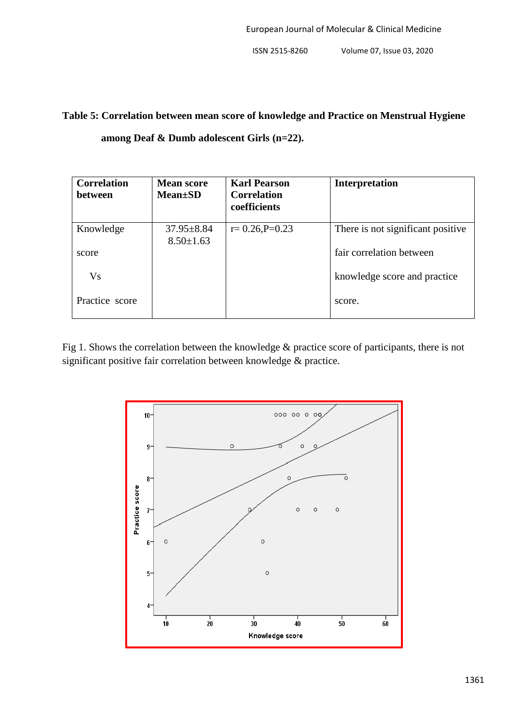# **Table 5: Correlation between mean score of knowledge and Practice on Menstrual Hygiene among Deaf & Dumb adolescent Girls (n=22).**

| <b>Correlation</b><br>between | <b>Mean score</b><br><b>Mean</b> ±SD | <b>Karl Pearson</b><br><b>Correlation</b><br>coefficients | <b>Interpretation</b>             |
|-------------------------------|--------------------------------------|-----------------------------------------------------------|-----------------------------------|
| Knowledge                     | $37.95 \pm 8.84$<br>$8.50 \pm 1.63$  | $r=0.26$ , $P=0.23$                                       | There is not significant positive |
| score                         |                                      |                                                           | fair correlation between          |
| <b>Vs</b>                     |                                      |                                                           | knowledge score and practice      |
| Practice score                |                                      |                                                           | score.                            |

Fig 1. Shows the correlation between the knowledge & practice score of participants, there is not significant positive fair correlation between knowledge & practice.

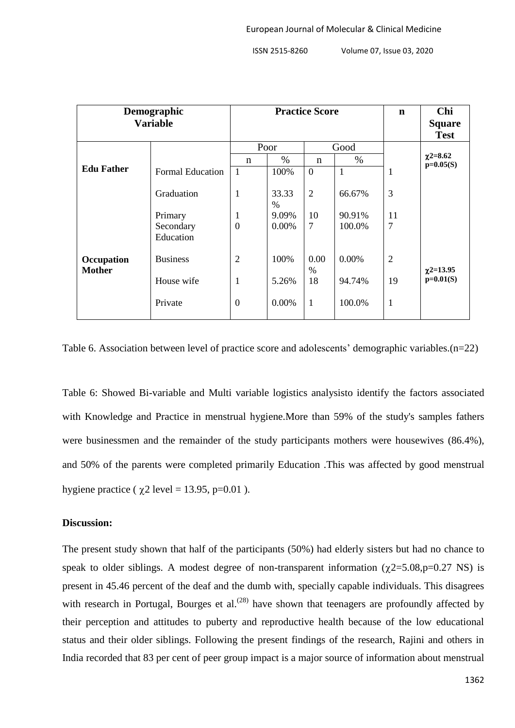| Demographic<br><b>Variable</b> |                         | <b>Practice Score</b> |            |                |        | $\mathbf n$    | Chi<br><b>Square</b>         |
|--------------------------------|-------------------------|-----------------------|------------|----------------|--------|----------------|------------------------------|
|                                | Poor<br>Good            |                       |            |                |        | <b>Test</b>    |                              |
|                                |                         | n                     | $\%$       | n              | $\%$   |                | $\chi$ 2=8.62<br>$p=0.05(S)$ |
| <b>Edu Father</b>              | <b>Formal Education</b> | $\mathbf{1}$          | 100%       | $\overline{0}$ | 1      | 1              |                              |
|                                | Graduation              | 1                     | 33.33<br>% | $\overline{2}$ | 66.67% | 3              |                              |
|                                | Primary                 | $\mathbf{1}$          | 9.09%      | 10             | 90.91% | 11             |                              |
|                                | Secondary<br>Education  | $\overline{0}$        | 0.00%      | $\overline{7}$ | 100.0% | 7              |                              |
| Occupation<br><b>Mother</b>    | <b>Business</b>         | $\overline{2}$        | 100%       | 0.00<br>$\%$   | 0.00%  | $\overline{2}$ | $\chi$ 2=13.95               |
|                                | House wife              | 1                     | 5.26%      | 18             | 94.74% | 19             | $p=0.01(S)$                  |
|                                | Private                 | $\overline{0}$        | 0.00%      | $\mathbf{1}$   | 100.0% | 1              |                              |

Table 6. Association between level of practice score and adolescents' demographic variables.(n=22)

Table 6: Showed Bi-variable and Multi variable logistics analysisto identify the factors associated with Knowledge and Practice in menstrual hygiene.More than 59% of the study's samples fathers were businessmen and the remainder of the study participants mothers were housewives (86.4%), and 50% of the parents were completed primarily Education .This was affected by good menstrual hygiene practice ( $\gamma$ 2 level = 13.95, p=0.01).

#### **Discussion:**

The present study shown that half of the participants (50%) had elderly sisters but had no chance to speak to older siblings. A modest degree of non-transparent information  $(\gamma 2=5.08, p=0.27 \text{ NS})$  is present in 45.46 percent of the deaf and the dumb with, specially capable individuals. This disagrees with research in Portugal, Bourges et al.<sup> $(28)$ </sup> have shown that teenagers are profoundly affected by their perception and attitudes to puberty and reproductive health because of the low educational status and their older siblings. Following the present findings of the research, Rajini and others in India recorded that 83 per cent of peer group impact is a major source of information about menstrual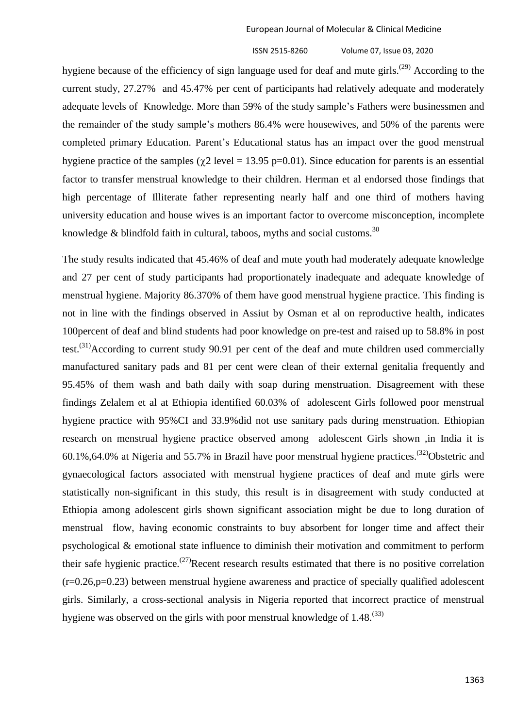hygiene because of the efficiency of sign language used for deaf and mute girls.<sup>(29)</sup> According to the current study, 27.27% and 45.47% per cent of participants had relatively adequate and moderately adequate levels of Knowledge. More than 59% of the study sample"s Fathers were businessmen and the remainder of the study sample"s mothers 86.4% were housewives, and 50% of the parents were completed primary Education. Parent's Educational status has an impact over the good menstrual hygiene practice of the samples ( $\gamma$ 2 level = 13.95 p=0.01). Since education for parents is an essential factor to transfer menstrual knowledge to their children. Herman et al endorsed those findings that high percentage of Illiterate father representing nearly half and one third of mothers having university education and house wives is an important factor to overcome misconception, incomplete knowledge & blindfold faith in cultural, taboos, myths and social customs.<sup>30</sup>

The study results indicated that 45.46% of deaf and mute youth had moderately adequate knowledge and 27 per cent of study participants had proportionately inadequate and adequate knowledge of menstrual hygiene. Majority 86.370% of them have good menstrual hygiene practice. This finding is not in line with the findings observed in Assiut by Osman et al on reproductive health, indicates 100percent of deaf and blind students had poor knowledge on pre-test and raised up to 58.8% in post test.<sup>(31)</sup>According to current study 90.91 per cent of the deaf and mute children used commercially manufactured sanitary pads and 81 per cent were clean of their external genitalia frequently and 95.45% of them wash and bath daily with soap during menstruation. Disagreement with these findings Zelalem et al at Ethiopia identified 60.03% of adolescent Girls followed poor menstrual hygiene practice with 95%CI and 33.9%did not use sanitary pads during menstruation. Ethiopian research on menstrual hygiene practice observed among adolescent Girls shown ,in India it is  $60.1\%$ ,64.0% at Nigeria and 55.7% in Brazil have poor menstrual hygiene practices.<sup>(32)</sup>Obstetric and gynaecological factors associated with menstrual hygiene practices of deaf and mute girls were statistically non-significant in this study, this result is in disagreement with study conducted at Ethiopia among adolescent girls shown significant association might be due to long duration of menstrual flow, having economic constraints to buy absorbent for longer time and affect their psychological & emotional state influence to diminish their motivation and commitment to perform their safe hygienic practice.<sup>(27)</sup>Recent research results estimated that there is no positive correlation  $(r=0.26, p=0.23)$  between menstrual hygiene awareness and practice of specially qualified adolescent girls. Similarly, a cross-sectional analysis in Nigeria reported that incorrect practice of menstrual hygiene was observed on the girls with poor menstrual knowledge of  $1.48$ .<sup>(33)</sup>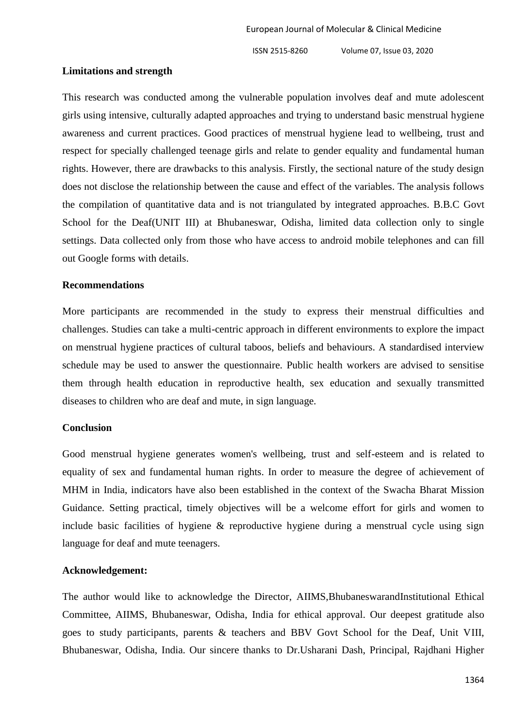#### **Limitations and strength**

This research was conducted among the vulnerable population involves deaf and mute adolescent girls using intensive, culturally adapted approaches and trying to understand basic menstrual hygiene awareness and current practices. Good practices of menstrual hygiene lead to wellbeing, trust and respect for specially challenged teenage girls and relate to gender equality and fundamental human rights. However, there are drawbacks to this analysis. Firstly, the sectional nature of the study design does not disclose the relationship between the cause and effect of the variables. The analysis follows the compilation of quantitative data and is not triangulated by integrated approaches. B.B.C Govt School for the Deaf(UNIT III) at Bhubaneswar, Odisha, limited data collection only to single settings. Data collected only from those who have access to android mobile telephones and can fill out Google forms with details.

#### **Recommendations**

More participants are recommended in the study to express their menstrual difficulties and challenges. Studies can take a multi-centric approach in different environments to explore the impact on menstrual hygiene practices of cultural taboos, beliefs and behaviours. A standardised interview schedule may be used to answer the questionnaire. Public health workers are advised to sensitise them through health education in reproductive health, sex education and sexually transmitted diseases to children who are deaf and mute, in sign language.

#### **Conclusion**

Good menstrual hygiene generates women's wellbeing, trust and self-esteem and is related to equality of sex and fundamental human rights. In order to measure the degree of achievement of MHM in India, indicators have also been established in the context of the Swacha Bharat Mission Guidance. Setting practical, timely objectives will be a welcome effort for girls and women to include basic facilities of hygiene & reproductive hygiene during a menstrual cycle using sign language for deaf and mute teenagers.

#### **Acknowledgement:**

The author would like to acknowledge the Director, AIIMS,BhubaneswarandInstitutional Ethical Committee, AIIMS, Bhubaneswar, Odisha, India for ethical approval. Our deepest gratitude also goes to study participants, parents & teachers and BBV Govt School for the Deaf, Unit VIII, Bhubaneswar, Odisha, India. Our sincere thanks to Dr.Usharani Dash, Principal, Rajdhani Higher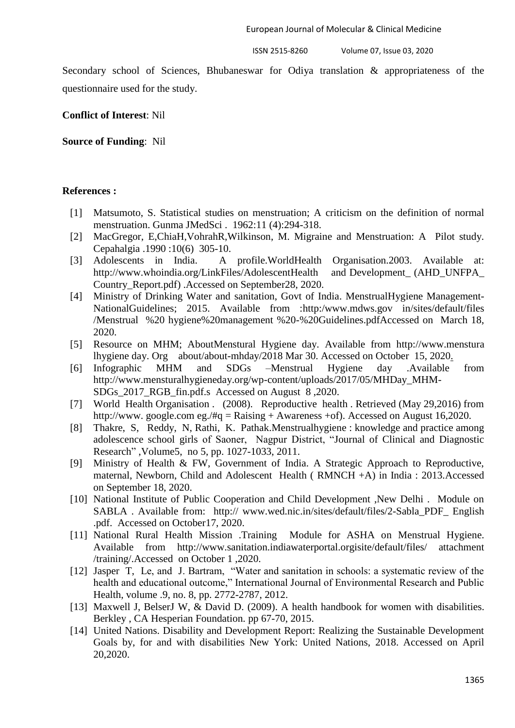Secondary school of Sciences, Bhubaneswar for Odiya translation & appropriateness of the questionnaire used for the study.

**Conflict of Interest**: Nil

**Source of Funding**: Nil

#### **References :**

- [1] Matsumoto, S. Statistical studies on menstruation; A criticism on the definition of normal menstruation. Gunma JMedSci . 1962:11 (4):294-318.
- [2] MacGregor, E,ChiaH,VohrahR,Wilkinson, M. Migraine and Menstruation: A Pilot study. Cepahalgia .1990 :10(6) 305-10.
- [3] Adolescents in India. A profile.WorldHealth Organisation.2003. Available at: [http://www.whoindia.org/LinkFiles/AdolescentH](http://www.whoindia.org/LinkFiles/Adolescent)ealth and Development\_ (AHD\_UNFPA\_ Country\_Report.pdf) .Accessed on September28, 2020.
- [4] Ministry of Drinking Water and sanitation, Govt of India. MenstrualHygiene Management-NationalGuidelines; 2015. Available from :http:/www.mdws.gov in/sites/default/files /Menstrual %20 hygiene%20management %20-%20Guidelines.pdfAccessed on March 18, 2020.
- [5] Resource on MHM; AboutMenstural Hygiene day. Available from http://www.menstura lhygiene day. Org about/about-mhday/2018 Mar 30. Accessed on October 15, 2020.
- [6] Infographic MHM and SDGs –Menstrual Hygiene day .Available from [http://www.mensturalhygieneday.org/wp-content/uploads/2017/05/MHDay\\_MHM-](http://www.mensturalhygieneday.org/wp-content/uploads/2017/05/MHDay_MHM-SDGs_2017_RGB_fin.pdf.s)[SDGs\\_2017\\_RGB\\_fin.pdf.s](http://www.mensturalhygieneday.org/wp-content/uploads/2017/05/MHDay_MHM-SDGs_2017_RGB_fin.pdf.s) Accessed on August 8 ,2020.
- [7] World Health Organisation . (2008). Reproductive health . Retrieved (May 29,2016) from [http://www.](http://www/) google.com eg./#q = Raising + Awareness +of). Accessed on August 16,2020.
- [8] Thakre, S, Reddy, N, Rathi, K. Pathak.Menstrualhygiene : knowledge and practice among adolescence school girls of Saoner, Nagpur District, "Journal of Clinical and Diagnostic Research" ,Volume5, no 5, pp. 1027-1033, 2011.
- [9] Ministry of Health & FW, Government of India. A Strategic Approach to Reproductive, maternal, Newborn, Child and Adolescent Health ( RMNCH +A) in India : 2013.Accessed on September 18, 2020.
- [10] National Institute of Public Cooperation and Child Development ,New Delhi . Module on SABLA . Available from: http:// [www.wed.nic.in/sites/default/files/2-Sabla\\_PDF\\_ English](http://www.wed.nic.in/sites/default/files/2-Sabla_PDF_%20English%20.pdf)  [.pdf.](http://www.wed.nic.in/sites/default/files/2-Sabla_PDF_%20English%20.pdf) Accessed on October17, 2020.
- [11] National Rural Health Mission .Training Module for ASHA on Menstrual Hygiene. Available from [http://www.sanitation.indiawaterportal.orgisite/default/files/ attachment](http://www.sanitation.indiawaterportal.orgisite/default/files/%20attachment%20/training/)  [/training/.](http://www.sanitation.indiawaterportal.orgisite/default/files/%20attachment%20/training/)Accessed on October 1 ,2020.
- [12] Jasper T, Le, and J. Bartram, "Water and sanitation in schools: a systematic review of the health and educational outcome," International Journal of Environmental Research and Public Health, volume .9, no. 8, pp. 2772-2787, 2012.
- [13] Maxwell J, BelserJ W, & David D. (2009). A health handbook for women with disabilities. Berkley , CA Hesperian Foundation. pp 67-70, 2015.
- [14] United Nations. Disability and Development Report: Realizing the Sustainable Development Goals by, for and with disabilities New York: United Nations, 2018. Accessed on April 20,2020.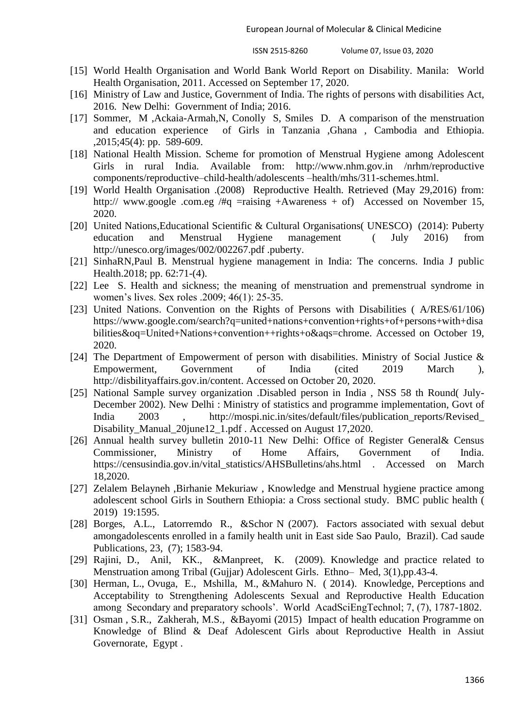- [15] World Health Organisation and World Bank World Report on Disability. Manila: World Health Organisation, 2011. Accessed on September 17, 2020.
- [16] Ministry of Law and Justice, Government of India. The rights of persons with disabilities Act, 2016. New Delhi: Government of India; 2016.
- [17] Sommer, M ,Ackaia-Armah,N, Conolly S, Smiles D. A comparison of the menstruation and education experience of Girls in Tanzania ,Ghana , Cambodia and Ethiopia. ,2015;45(4): pp. 589-609.
- [18] National Health Mission. Scheme for promotion of Menstrual Hygiene among Adolescent Girls in rural India. Available from: [http://www.nhm.gov.in](http://www.nhm.gov.in/) /nrhm/reproductive components/reproductive–child-health/adolescents –health/mhs/311-schemes.html.
- [19] World Health Organisation .(2008) Reproductive Health. Retrieved (May 29,2016) from: http:// [www.google](http://www.google/) .com.eg /#q =raising +Awareness + of) Accessed on November 15, 2020.
- [20] United Nations,Educational Scientific & Cultural Organisations( UNESCO) (2014): Puberty education and Menstrual Hygiene management ( July 2016) from [http://unesco.org/images/002/002267.pdf .puberty.](http://unesco.org/images/002/002267.pdf%20.puberty)
- [21] SinhaRN,Paul B. Menstrual hygiene management in India: The concerns. India J public Health.2018; pp. 62:71-(4).
- [22] Lee S. Health and sickness; the meaning of menstruation and premenstrual syndrome in women"s lives. Sex roles .2009; 46(1): 25-35.
- [23] United Nations. Convention on the Rights of Persons with Disabilities (A/RES/61/106) [https://www.google.com/search?q=united+nations+convention+rights+of+persons+with+disa](https://www.google.com/search?q=united+nations+convention+rights+of+persons+with+disabilities&oq=United+Nations+convention++rights+o&aqs=chrome) [bilities&oq=United+Nations+convention++rights+o&aqs=chrome.](https://www.google.com/search?q=united+nations+convention+rights+of+persons+with+disabilities&oq=United+Nations+convention++rights+o&aqs=chrome) Accessed on October 19, 2020.
- [24] The Department of Empowerment of person with disabilities. Ministry of Social Justice & Empowerment, Government of India (cited 2019 March ), [http://disbilityaffairs.gov.in/content.](http://disbilityaffairs.gov.in/content) Accessed on October 20, 2020.
- [25] National Sample survey organization .Disabled person in India , NSS 58 th Round( July-December 2002). New Delhi : Ministry of statistics and programme implementation, Govt of India 2003 , [http://mospi.nic.in/sites/default/files/publication\\_reports/Revised\\_](http://mospi.nic.in/sites/default/files/publication_reports/Revised_) Disability\_Manual\_20june12\_1.pdf . Accessed on August 17,2020.
- [26] Annual health survey bulletin 2010-11 New Delhi: Office of Register General & Census Commissioner, Ministry of Home Affairs, Government of India. [https://censusindia.gov.in/vital\\_statistics/AHSBulletins/ahs.html](https://censusindia.gov.in/vital_statistics/AHSBulletins/ahs.html) . Accessed on March 18,2020.
- [27] Zelalem Belayneh ,Birhanie Mekuriaw , Knowledge and Menstrual hygiene practice among adolescent school Girls in Southern Ethiopia: a Cross sectional study. BMC public health ( 2019) 19:1595.
- [28] Borges, A.L., Latorremdo R., &Schor N (2007). Factors associated with sexual debut amongadolescents enrolled in a family health unit in East side Sao Paulo, Brazil). Cad saude Publications, 23, (7); 1583-94.
- [29] Rajini, D., Anil, KK., &Manpreet, K. (2009). Knowledge and practice related to Menstruation among Tribal (Gujjar) Adolescent Girls. Ethno– Med, 3(1),pp.43-4.
- [30] Herman, L., Ovuga, E., Mshilla, M., &Mahuro N. ( 2014). Knowledge, Perceptions and Acceptability to Strengthening Adolescents Sexual and Reproductive Health Education among Secondary and preparatory schools". World AcadSciEngTechnol; 7, (7), 1787-1802.
- [31] Osman , S.R., Zakherah, M.S., &Bayomi (2015) Impact of health education Programme on Knowledge of Blind & Deaf Adolescent Girls about Reproductive Health in Assiut Governorate, Egypt .